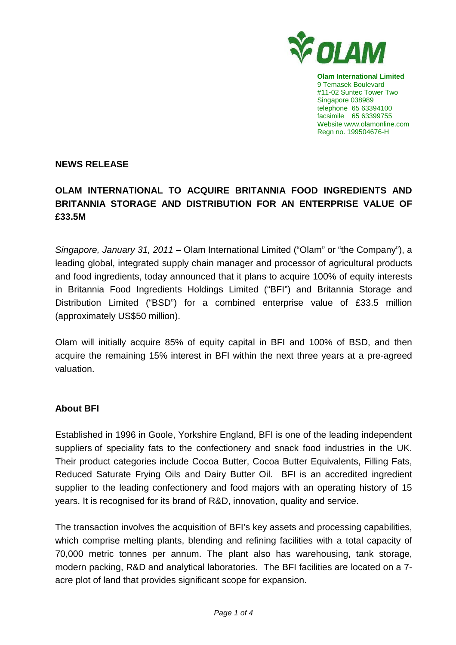

**Olam International Limited**  9 Temasek Boulevard #11-02 Suntec Tower Two Singapore 038989 telephone 65 63394100 facsimile 65 63399755 Website www.olamonline.com Regn no. 199504676-H

### **NEWS RELEASE**

# **OLAM INTERNATIONAL TO ACQUIRE BRITANNIA FOOD INGREDIENTS AND BRITANNIA STORAGE AND DISTRIBUTION FOR AN ENTERPRISE VALUE OF £33.5M**

Singapore, January 31, 2011 – Olam International Limited ("Olam" or "the Company"), a leading global, integrated supply chain manager and processor of agricultural products and food ingredients, today announced that it plans to acquire 100% of equity interests in Britannia Food Ingredients Holdings Limited ("BFI") and Britannia Storage and Distribution Limited ("BSD") for a combined enterprise value of £33.5 million (approximately US\$50 million).

Olam will initially acquire 85% of equity capital in BFI and 100% of BSD, and then acquire the remaining 15% interest in BFI within the next three years at a pre-agreed valuation.

#### **About BFI**

Established in 1996 in Goole, Yorkshire England, BFI is one of the leading independent suppliers of speciality fats to the confectionery and snack food industries in the UK. Their product categories include Cocoa Butter, Cocoa Butter Equivalents, Filling Fats, Reduced Saturate Frying Oils and Dairy Butter Oil. BFI is an accredited ingredient supplier to the leading confectionery and food majors with an operating history of 15 years. It is recognised for its brand of R&D, innovation, quality and service.

The transaction involves the acquisition of BFI's key assets and processing capabilities, which comprise melting plants, blending and refining facilities with a total capacity of 70,000 metric tonnes per annum. The plant also has warehousing, tank storage, modern packing, R&D and analytical laboratories. The BFI facilities are located on a 7 acre plot of land that provides significant scope for expansion.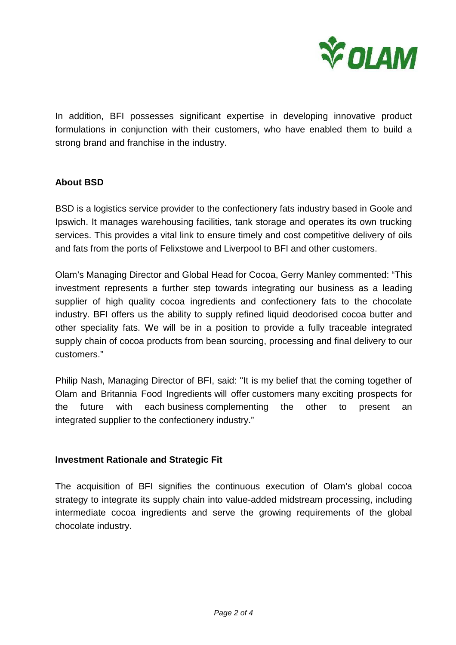

In addition, BFI possesses significant expertise in developing innovative product formulations in conjunction with their customers, who have enabled them to build a strong brand and franchise in the industry.

### **About BSD**

BSD is a logistics service provider to the confectionery fats industry based in Goole and Ipswich. It manages warehousing facilities, tank storage and operates its own trucking services. This provides a vital link to ensure timely and cost competitive delivery of oils and fats from the ports of Felixstowe and Liverpool to BFI and other customers.

Olam's Managing Director and Global Head for Cocoa, Gerry Manley commented: "This investment represents a further step towards integrating our business as a leading supplier of high quality cocoa ingredients and confectionery fats to the chocolate industry. BFI offers us the ability to supply refined liquid deodorised cocoa butter and other speciality fats. We will be in a position to provide a fully traceable integrated supply chain of cocoa products from bean sourcing, processing and final delivery to our customers."

Philip Nash, Managing Director of BFI, said: "It is my belief that the coming together of Olam and Britannia Food Ingredients will offer customers many exciting prospects for the future with each business complementing the other to present an integrated supplier to the confectionery industry."

#### **Investment Rationale and Strategic Fit**

The acquisition of BFI signifies the continuous execution of Olam's global cocoa strategy to integrate its supply chain into value-added midstream processing, including intermediate cocoa ingredients and serve the growing requirements of the global chocolate industry.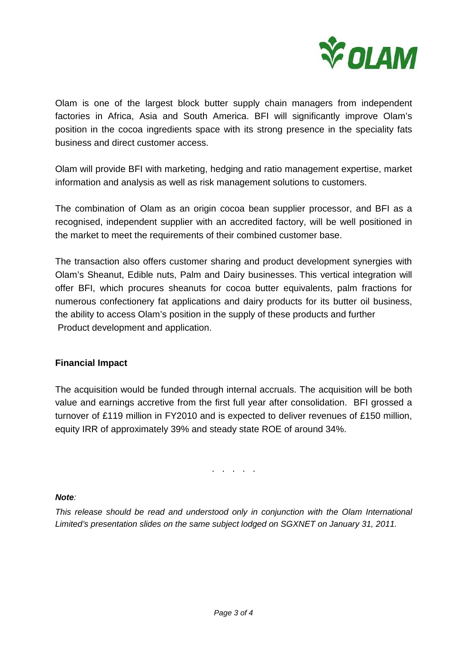

Olam is one of the largest block butter supply chain managers from independent factories in Africa, Asia and South America. BFI will significantly improve Olam's position in the cocoa ingredients space with its strong presence in the speciality fats business and direct customer access.

Olam will provide BFI with marketing, hedging and ratio management expertise, market information and analysis as well as risk management solutions to customers.

The combination of Olam as an origin cocoa bean supplier processor, and BFI as a recognised, independent supplier with an accredited factory, will be well positioned in the market to meet the requirements of their combined customer base.

The transaction also offers customer sharing and product development synergies with Olam's Sheanut, Edible nuts, Palm and Dairy businesses. This vertical integration will offer BFI, which procures sheanuts for cocoa butter equivalents, palm fractions for numerous confectionery fat applications and dairy products for its butter oil business, the ability to access Olam's position in the supply of these products and further Product development and application.

## **Financial Impact**

The acquisition would be funded through internal accruals. The acquisition will be both value and earnings accretive from the first full year after consolidation. BFI grossed a turnover of £119 million in FY2010 and is expected to deliver revenues of £150 million, equity IRR of approximately 39% and steady state ROE of around 34%.

. . . . .

#### **Note**:

This release should be read and understood only in conjunction with the Olam International Limited's presentation slides on the same subject lodged on SGXNET on January 31, 2011.